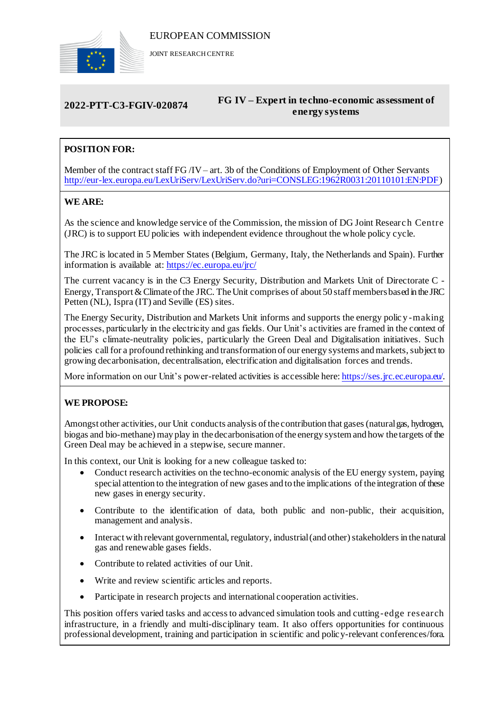

JOINT RESEARCH CENTRE

# **2022-PTT-C3-FGIV-020874 FG IV – Expert in techno-economic assessment of energy systems**

# **POSITION FOR:**

Member of the contract staff FG /IV – art. 3b of the Conditions of Employment of Other Servants [http://eur-lex.europa.eu/LexUriServ/LexUriServ.do?uri=CONSLEG:1962R0031:20110101:EN:PDF\)](http://eur-lex.europa.eu/LexUriServ/LexUriServ.do?uri=CONSLEG:1962R0031:20110101:EN:PDF)

# **WE ARE:**

As the science and knowledge service of the Commission, the mission of DG Joint Researc h Centre (JRC) is to support EU policies with independent evidence throughout the whole policy cycle.

The JRC is located in 5 Member States (Belgium, Germany, Italy, the Netherlands and Spain). Further information is available at: <https://ec.europa.eu/jrc/>

The current vacancy is in the C3 Energy Security, Distribution and Markets Unit of Directorate C - Energy, Transport & Climate of the JRC. The Unit comprises of about 50 staff members based in the JRC Petten (NL), Ispra (IT) and Seville (ES) sites.

The Energy Security, Distribution and Markets Unit informs and supports the energy polic y -making processes, particularly in the electricity and gas fields. Our Unit's activities are framed in the context of the EU's climate-neutrality policies, particularly the Green Deal and Digitalisation initiatives. Such policies call for a profound rethinking and transformation of our energy systems and markets, subject to growing decarbonisation, decentralisation, electrification and digitalisation forces and trends.

More information on our Unit's power-related activities is accessible here[: https://ses.jrc.ec.europa.eu/.](https://ses.jrc.ec.europa.eu/)

# **WE PROPOSE:**

Amongst other activities, our Unit conducts analysis of the contribution that gases (natural gas, hydrogen, biogas and bio-methane) may play in the decarbonisation of the energy system and how the targets of the Green Deal may be achieved in a stepwise, secure manner.

In this context, our Unit is looking for a new colleague tasked to:

- Conduct research activities on the techno-economic analysis of the EU energy system, paying special attention to the integration of new gases and to the implications of the integration of these new gases in energy security.
- Contribute to the identification of data, both public and non-public, their acquisition, management and analysis.
- Interact with relevant governmental, regulatory, industrial (and other) stakeholders in the natural gas and renewable gases fields.
- Contribute to related activities of our Unit.
- Write and review scientific articles and reports.
- Participate in research projects and international cooperation activities.

This position offers varied tasks and access to advanced simulation tools and cutting-edge research infrastructure, in a friendly and multi-disciplinary team. It also offers opportunities for continuous professional development, training and participation in scientific and policy-relevant conferences/fora.